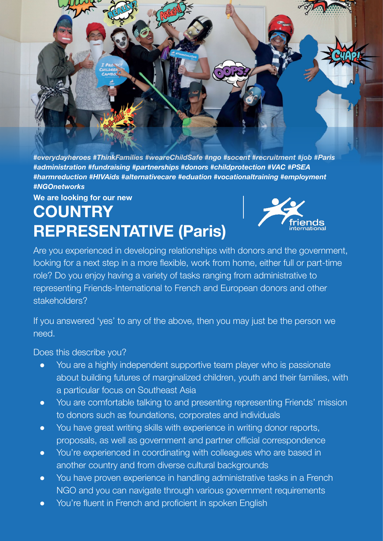

*#everydayheroes #ThinkFamilies #weareChildSafe #ngo #socent #recruitment #job #Paris #administration #fundraising #partnerships #donors #childprotection #VAC #PSEA #harmreduction #HIVAids #alternativecare #eduation #vocationaltraining #employment #NGOnetworks* 

## **We are looking for our new COUNTRY REPRESENTATIVE (Paris)**



Are you experienced in developing relationships with donors and the government, looking for a next step in a more flexible, work from home, either full or part-time role? Do you enjoy having a variety of tasks ranging from administrative to representing Friends-International to French and European donors and other stakeholders?

If you answered 'yes' to any of the above, then you may just be the person we need.

Does this describe you?

- You are a highly independent supportive team player who is passionate about building futures of marginalized children, youth and their families, with a particular focus on Southeast Asia
- You are comfortable talking to and presenting representing Friends' mission to donors such as foundations, corporates and individuals
- You have great writing skills with experience in writing donor reports, proposals, as well as government and partner official correspondence
- You're experienced in coordinating with colleagues who are based in another country and from diverse cultural backgrounds
- You have proven experience in handling administrative tasks in a French NGO and you can navigate through various government requirements
- You're fluent in French and proficient in spoken English